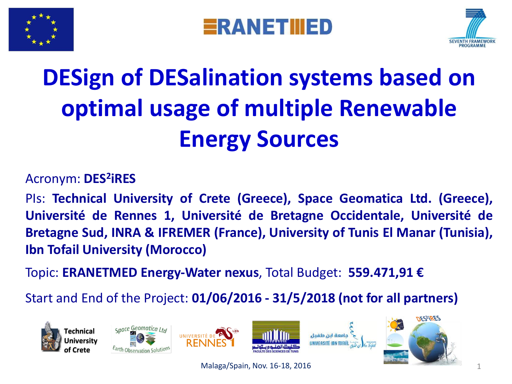





### **DESign of DESalination systems based on optimal usage of multiple Renewable Energy Sources**

#### Acronym: **DES<sup>2</sup> iRES**

PIs: **Technical University of Crete (Greece), Space Geomatica Ltd. (Greece), Université de Rennes 1, Université de Bretagne Occidentale, Université de Bretagne Sud, INRA & IFREMER (France), University of Tunis El Manar (Tunisia), Ibn Tofail University (Morocco)**

Topic: **ERANETMED Energy-Water nexus**, Total Budget: **559.471,91 €**

Start and End of the Project: **01/06/2016 - 31/5/2018 (not for all partners)**











Malaga/Spain, Nov. 16-18, 2016 1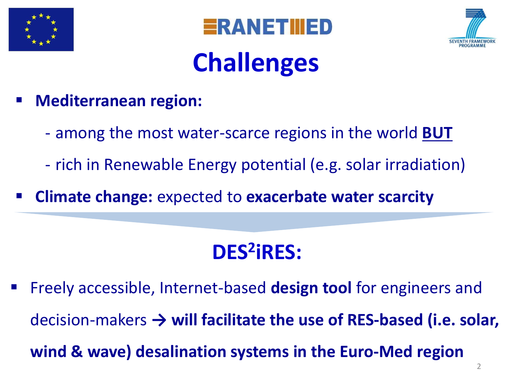





### **Challenges**

- **Mediterranean region:**
	- among the most water-scarce regions in the world **BUT**
	- rich in Renewable Energy potential (e.g. solar irradiation)
- **Climate change:** expected to **exacerbate water scarcity**

#### **DES<sup>2</sup> iRES:**

 Freely accessible, Internet-based **design tool** for engineers and decision-makers **→ will facilitate the use of RES-based (i.e. solar, wind & wave) desalination systems in the Euro-Med region**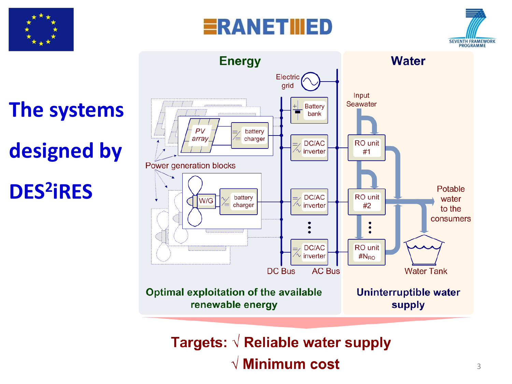







Targets:  $\sqrt{ }$  Reliable water supply  $\sqrt{ }$  Minimum cost

# **The systems**

### **designed by**

#### **DES<sup>2</sup> iRES**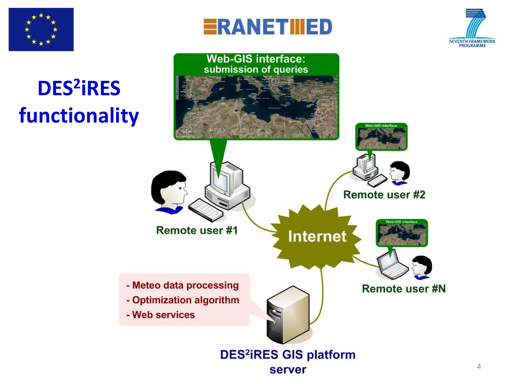





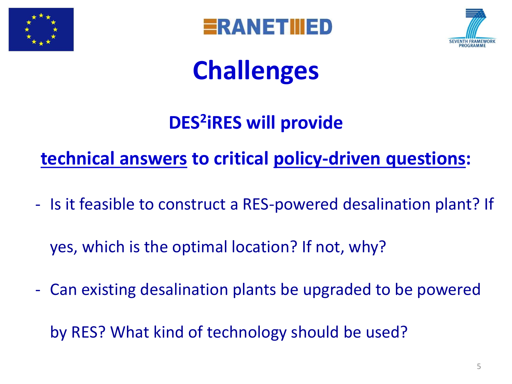





### **Challenges**

#### **DES<sup>2</sup> iRES will provide**

#### **technical answers to critical policy-driven questions:**

- Is it feasible to construct a RES-powered desalination plant? If

yes, which is the optimal location? If not, why?

- Can existing desalination plants be upgraded to be powered

by RES? What kind of technology should be used?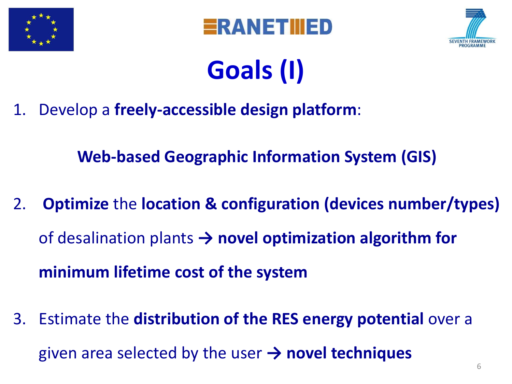





### **Goals (I)**

1. Develop a **freely-accessible design platform**:

**Web-based Geographic Information System (GIS)**

- 2. **Optimize** the **location & configuration (devices number/types)**  of desalination plants **→ novel optimization algorithm for minimum lifetime cost of the system**
- 3. Estimate the **distribution of the RES energy potential** over a given area selected by the user **→ novel techniques**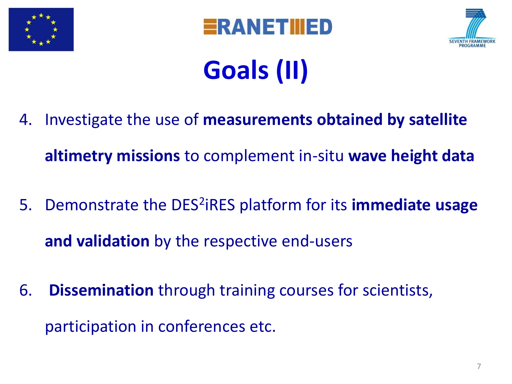





# **Goals (II)**

4. Investigate the use of **measurements obtained by satellite** 

**altimetry missions** to complement in-situ **wave height data**

- 5. Demonstrate the DES<sup>2</sup>iRES platform for its **immediate usage and validation** by the respective end-users
- 6. **Dissemination** through training courses for scientists, participation in conferences etc.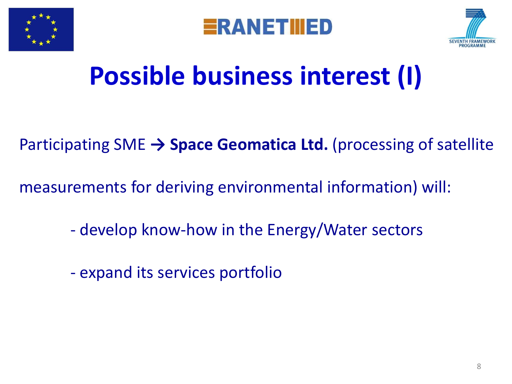





### **Possible business interest (I)**

#### Participating SME **→ Space Geomatica Ltd.** (processing of satellite

measurements for deriving environmental information) will:

- develop know-how in the Energy/Water sectors
- expand its services portfolio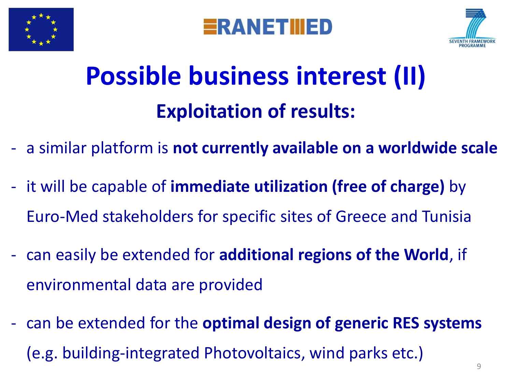





### **Possible business interest (II) Exploitation of results:**

- a similar platform is **not currently available on a worldwide scale**
- it will be capable of **immediate utilization (free of charge)** by Euro-Med stakeholders for specific sites of Greece and Tunisia
- can easily be extended for **additional regions of the World**, if environmental data are provided
- can be extended for the **optimal design of generic RES systems**  (e.g. building-integrated Photovoltaics, wind parks etc.)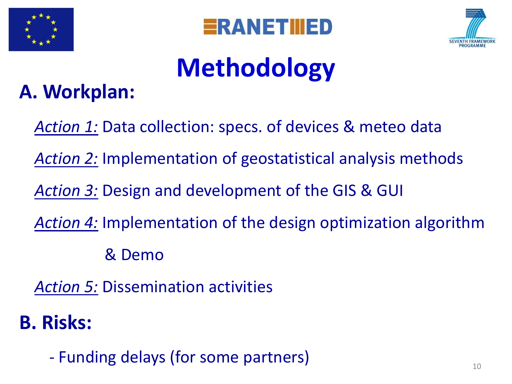





# **Methodology**

#### **A. Workplan:**

*Action 1:* Data collection: specs. of devices & meteo data

*Action 2:* Implementation of geostatistical analysis methods

*Action 3:* Design and development of the GIS & GUI

*Action 4:* Implementation of the design optimization algorithm

& Demo

*Action 5:* Dissemination activities

#### **B. Risks:**

- Funding delays (for some partners)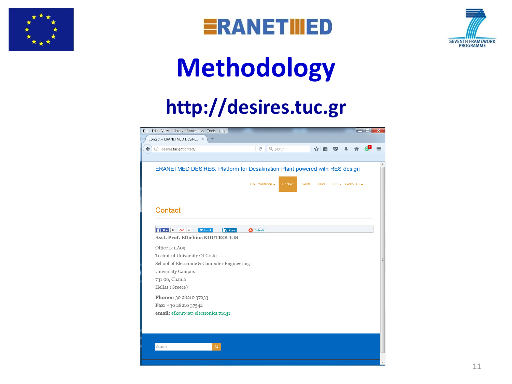





### **Methodology**

#### **http://desires.tuc.gr**

| Eile Edit View History Bookmarks Tools Help                                |                             |                       |                   | $\blacksquare$ | $\mathbf x$ |
|----------------------------------------------------------------------------|-----------------------------|-----------------------|-------------------|----------------|-------------|
| Contact - ERANETMED DESiRE *<br>÷                                          |                             |                       |                   |                |             |
| contact/                                                                   | $\mathcal{C}^i$<br>Q Search | ☆自                    | $\sqrt{2}$        |                |             |
|                                                                            |                             |                       |                   |                |             |
| ERANETMED DESIRES: Platform for Desalination Plant powered with RES design |                             |                       |                   |                |             |
|                                                                            |                             |                       |                   |                |             |
|                                                                            | Documentation +<br>Contact  | Events<br><b>News</b> | DESIRES Web-GIS + |                |             |
|                                                                            |                             |                       |                   |                |             |
|                                                                            |                             |                       |                   |                |             |
|                                                                            |                             |                       |                   |                |             |
| Contact                                                                    |                             |                       |                   |                |             |
|                                                                            |                             |                       |                   |                |             |
| FLike G+1 0<br><b>y</b> Tweet<br>in Share                                  | Submit<br>Θ                 |                       |                   |                |             |
| Asst. Prof. Eftichios KOUTROULIS                                           |                             |                       |                   |                |             |
| Office 141.A09                                                             |                             |                       |                   |                |             |
| Technical University Of Crete                                              |                             |                       |                   |                |             |
| School of Electronic & Computer Engineering                                |                             |                       |                   |                |             |
| <b>University Campus</b>                                                   |                             |                       |                   |                |             |
| 731 00, Chania                                                             |                             |                       |                   |                |             |
| Hellas (Greece)                                                            |                             |                       |                   |                |             |
|                                                                            |                             |                       |                   |                |             |
| Phone: +30 28210 37233                                                     |                             |                       |                   |                |             |
| Fax: +30 28210 37542                                                       |                             |                       |                   |                |             |
| email: efkout <at>electronics.tuc.gr</at>                                  |                             |                       |                   |                |             |
|                                                                            |                             |                       |                   |                |             |
|                                                                            |                             |                       |                   |                |             |
|                                                                            |                             |                       |                   |                |             |
| Q<br>Search                                                                |                             |                       |                   |                |             |
|                                                                            |                             |                       |                   |                |             |
|                                                                            |                             |                       |                   |                |             |